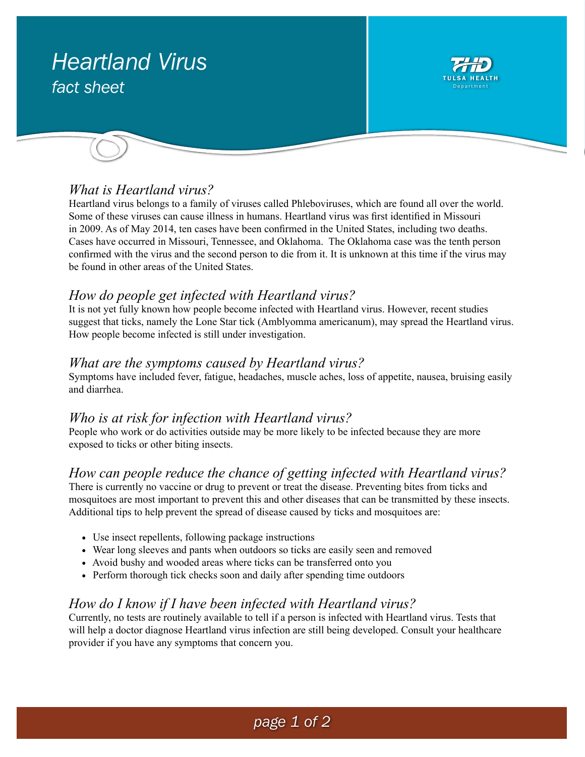# *Heartland Virus fact sheet*



## *What is Heartland virus?*

Heartland virus belongs to a family of viruses called Phleboviruses, which are found all over the world. Some of these viruses can cause illness in humans. Heartland virus was first identified in Missouri in 2009. As of May 2014, ten cases have been confirmed in the United States, including two deaths. Cases have occurred in Missouri, Tennessee, and Oklahoma. The Oklahoma case was the tenth person confirmed with the virus and the second person to die from it. It is unknown at this time if the virus may be found in other areas of the United States.

#### *How do people get infected with Heartland virus?*

It is not yet fully known how people become infected with Heartland virus. However, recent studies suggest that ticks, namely the Lone Star tick (Amblyomma americanum), may spread the Heartland virus. How people become infected is still under investigation.

#### *What are the symptoms caused by Heartland virus?*

Symptoms have included fever, fatigue, headaches, muscle aches, loss of appetite, nausea, bruising easily and diarrhea.

#### *Who is at risk for infection with Heartland virus?*

People who work or do activities outside may be more likely to be infected because they are more exposed to ticks or other biting insects.

#### *How can people reduce the chance of getting infected with Heartland virus?*

There is currently no vaccine or drug to prevent or treat the disease. Preventing bites from ticks and mosquitoes are most important to prevent this and other diseases that can be transmitted by these insects. Additional tips to help prevent the spread of disease caused by ticks and mosquitoes are:

- Use insect repellents, following package instructions
- Wear long sleeves and pants when outdoors so ticks are easily seen and removed
- Avoid bushy and wooded areas where ticks can be transferred onto you
- Perform thorough tick checks soon and daily after spending time outdoors

## *How do I know if I have been infected with Heartland virus?*

Currently, no tests are routinely available to tell if a person is infected with Heartland virus. Tests that will help a doctor diagnose Heartland virus infection are still being developed. Consult your healthcare provider if you have any symptoms that concern you.